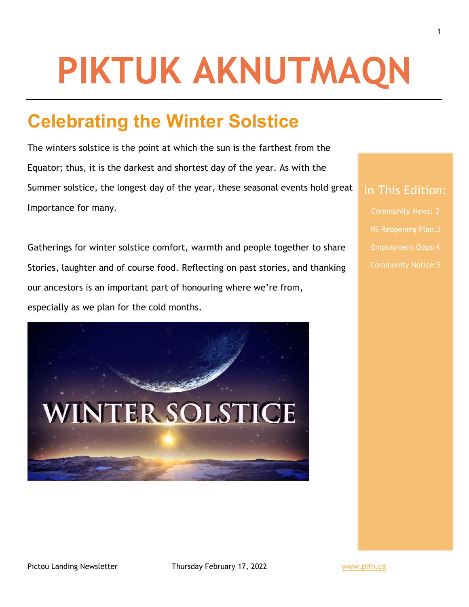# **PIKTUK AKNUTMAQN**

# **Celebrating the Winter Solstice**

The winters solstice is the point at which the sun is the farthest from the Equator; thus, it is the darkest and shortest day of the year. As with the Summer solstice, the longest day of the year, these seasonal events hold great Importance for many.

Gatherings for winter solstice comfort, warmth and people together to share Stories, laughter and of course food. Reflecting on past stories, and thanking our ancestors is an important part of honouring where we're from, especially as we plan for the cold months.



### In This Edition: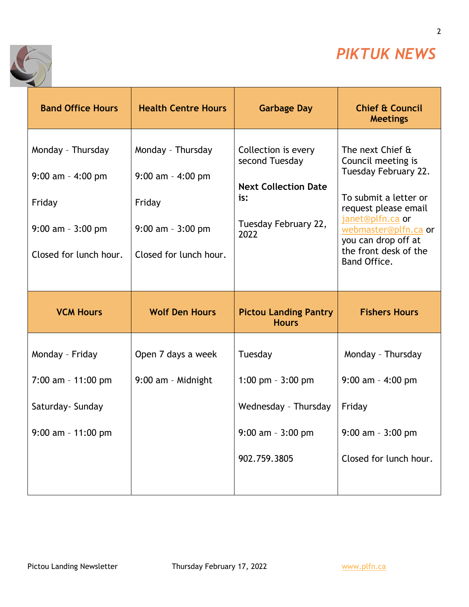

2

٦



| <b>Band Office Hours</b>                                                                              | <b>Health Centre Hours</b>                                                                            | <b>Garbage Day</b>                                                                                          | <b>Chief &amp; Council</b><br><b>Meetings</b>                                                                                                                                                                               |
|-------------------------------------------------------------------------------------------------------|-------------------------------------------------------------------------------------------------------|-------------------------------------------------------------------------------------------------------------|-----------------------------------------------------------------------------------------------------------------------------------------------------------------------------------------------------------------------------|
| Monday - Thursday<br>$9:00$ am - 4:00 pm<br>Friday<br>$9:00$ am - $3:00$ pm<br>Closed for lunch hour. | Monday - Thursday<br>$9:00$ am - 4:00 pm<br>Friday<br>$9:00$ am - $3:00$ pm<br>Closed for lunch hour. | Collection is every<br>second Tuesday<br><b>Next Collection Date</b><br>is:<br>Tuesday February 22,<br>2022 | The next Chief &<br>Council meeting is<br>Tuesday February 22.<br>To submit a letter or<br>request please email<br>janet@plfn.ca or<br>webmaster@plfn.ca or<br>you can drop off at<br>the front desk of the<br>Band Office. |
|                                                                                                       |                                                                                                       |                                                                                                             |                                                                                                                                                                                                                             |
| <b>VCM Hours</b>                                                                                      | <b>Wolf Den Hours</b>                                                                                 | <b>Pictou Landing Pantry</b><br><b>Hours</b>                                                                | <b>Fishers Hours</b>                                                                                                                                                                                                        |
| Monday - Friday                                                                                       | Open 7 days a week                                                                                    | Tuesday                                                                                                     | Monday - Thursday                                                                                                                                                                                                           |
| 7:00 am - 11:00 pm                                                                                    | 9:00 am - Midnight                                                                                    | 1:00 pm $-3:00$ pm                                                                                          | $9:00$ am - 4:00 pm                                                                                                                                                                                                         |
| Saturday- Sunday                                                                                      |                                                                                                       | Wednesday - Thursday                                                                                        | Friday                                                                                                                                                                                                                      |
| $9:00$ am - 11:00 pm                                                                                  |                                                                                                       | $9:00$ am - $3:00$ pm                                                                                       | $9:00$ am $-3:00$ pm                                                                                                                                                                                                        |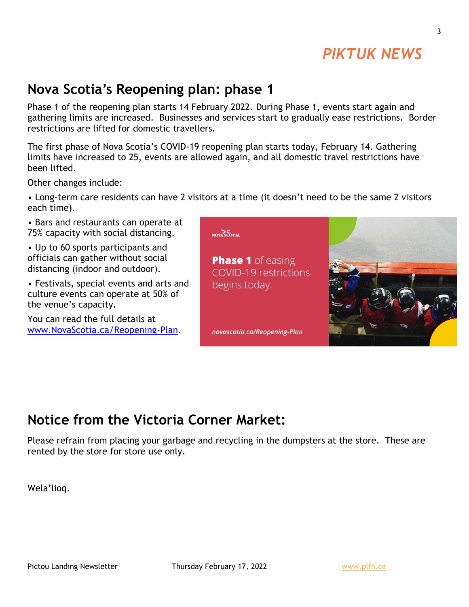## *PIKTUK NEWS*

## **Nova Scotia's Reopening plan: phase 1**

Phase 1 of the reopening plan starts 14 February 2022. During Phase 1, events start again and gathering limits are increased. Businesses and services start to gradually ease restrictions. Border restrictions are lifted for domestic travellers.

The first phase of Nova Scotia's COVID-19 reopening plan starts today, February 14. Gathering limits have increased to 25, events are allowed again, and all domestic travel restrictions have been lifted.

Other changes include:

• Long-term care residents can have 2 visitors at a time (it doesn't need to be the same 2 visitors each time).

• Bars and restaurants can operate at 75% capacity with social distancing.

• Up to 60 sports participants and officials can gather without social distancing (indoor and outdoor).

• Festivals, special events and arts and culture events can operate at 50% of the venue's capacity.

You can read the full details at [www.NovaScotia.ca/Reopening-Plan.](http://www.novascotia.ca/Reopening-Plan?fbclid=IwAR2CjopOsCjNo_LQmlOFEg6HGdjzNkmYPcVYESYxZk2Tf-TvzHL3Gv4KC4Y)



## **Notice from the Victoria Corner Market:**

Please refrain from placing your garbage and recycling in the dumpsters at the store. These are rented by the store for store use only.

Wela'lioq.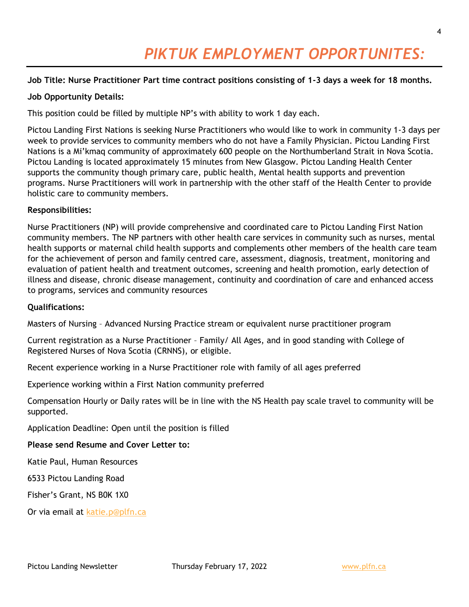# *PIKTUK EMPLOYMENT OPPORTUNITES:*

#### **Job Title: Nurse Practitioner Part time contract positions consisting of 1-3 days a week for 18 months.**

#### **Job Opportunity Details:**

This position could be filled by multiple NP's with ability to work 1 day each.

Pictou Landing First Nations is seeking Nurse Practitioners who would like to work in community 1-3 days per week to provide services to community members who do not have a Family Physician. Pictou Landing First Nations is a Mi'kmaq community of approximately 600 people on the Northumberland Strait in Nova Scotia. Pictou Landing is located approximately 15 minutes from New Glasgow. Pictou Landing Health Center supports the community though primary care, public health, Mental health supports and prevention programs. Nurse Practitioners will work in partnership with the other staff of the Health Center to provide holistic care to community members.

#### **Responsibilities:**

Nurse Practitioners (NP) will provide comprehensive and coordinated care to Pictou Landing First Nation community members. The NP partners with other health care services in community such as nurses, mental health supports or maternal child health supports and complements other members of the health care team for the achievement of person and family centred care, assessment, diagnosis, treatment, monitoring and evaluation of patient health and treatment outcomes, screening and health promotion, early detection of illness and disease, chronic disease management, continuity and coordination of care and enhanced access to programs, services and community resources

#### **Qualifications:**

Masters of Nursing – Advanced Nursing Practice stream or equivalent nurse practitioner program

Current registration as a Nurse Practitioner – Family/ All Ages, and in good standing with College of Registered Nurses of Nova Scotia (CRNNS), or eligible.

Recent experience working in a Nurse Practitioner role with family of all ages preferred

Experience working within a First Nation community preferred

Compensation Hourly or Daily rates will be in line with the NS Health pay scale travel to community will be supported.

Application Deadline: Open until the position is filled

#### **Please send Resume and Cover Letter to:**

Katie Paul, Human Resources

6533 Pictou Landing Road

Fisher's Grant, NS B0K 1X0

Or via email at [katie.p@plfn.ca](mailto:katie.p@plfn.ca)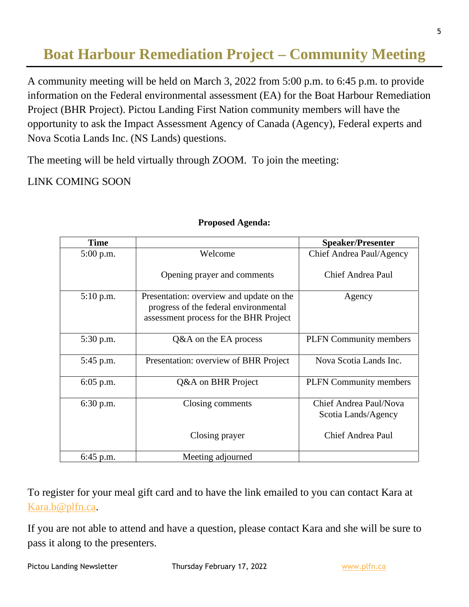## **Boat Harbour Remediation Project – Community Meeting**

A community meeting will be held on March 3, 2022 from 5:00 p.m. to 6:45 p.m. to provide information on the Federal environmental assessment (EA) for the Boat Harbour Remediation Project (BHR Project). Pictou Landing First Nation community members will have the opportunity to ask the Impact Assessment Agency of Canada (Agency), Federal experts and Nova Scotia Lands Inc. (NS Lands) questions.

The meeting will be held virtually through ZOOM. To join the meeting:

LINK COMING SOON

| <b>Time</b> |                                                                                                                             | <b>Speaker/Presenter</b>                      |
|-------------|-----------------------------------------------------------------------------------------------------------------------------|-----------------------------------------------|
| $5:00$ p.m. | Welcome                                                                                                                     | Chief Andrea Paul/Agency                      |
|             | Opening prayer and comments                                                                                                 | Chief Andrea Paul                             |
| 5:10 p.m.   | Presentation: overview and update on the<br>progress of the federal environmental<br>assessment process for the BHR Project | Agency                                        |
| 5:30 p.m.   | Q&A on the EA process                                                                                                       | <b>PLFN</b> Community members                 |
| 5:45 p.m.   | Presentation: overview of BHR Project                                                                                       | Nova Scotia Lands Inc.                        |
| $6:05$ p.m. | Q&A on BHR Project                                                                                                          | <b>PLFN</b> Community members                 |
| 6:30 p.m.   | Closing comments                                                                                                            | Chief Andrea Paul/Nova<br>Scotia Lands/Agency |
|             | Closing prayer                                                                                                              | Chief Andrea Paul                             |
| $6:45$ p.m. | Meeting adjourned                                                                                                           |                                               |

#### **Proposed Agenda:**

To register for your meal gift card and to have the link emailed to you can contact Kara at [Kara.b@plfn.ca.](mailto:Kara.b@plfn.ca)

If you are not able to attend and have a question, please contact Kara and she will be sure to pass it along to the presenters.